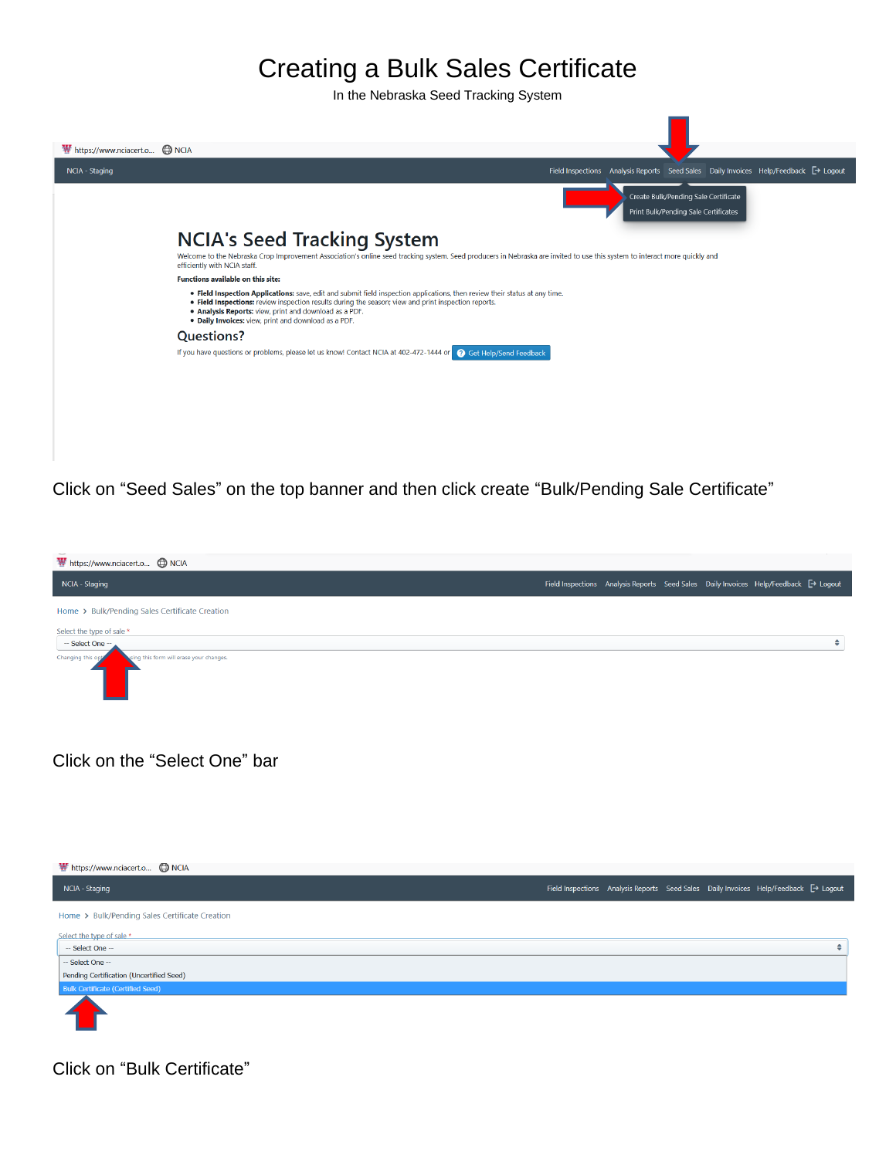

Click on "Seed Sales" on the top banner and then click create "Bulk/Pending Sale Certificate"



Click on the "Select One" bar



Click on "Bulk Certificate"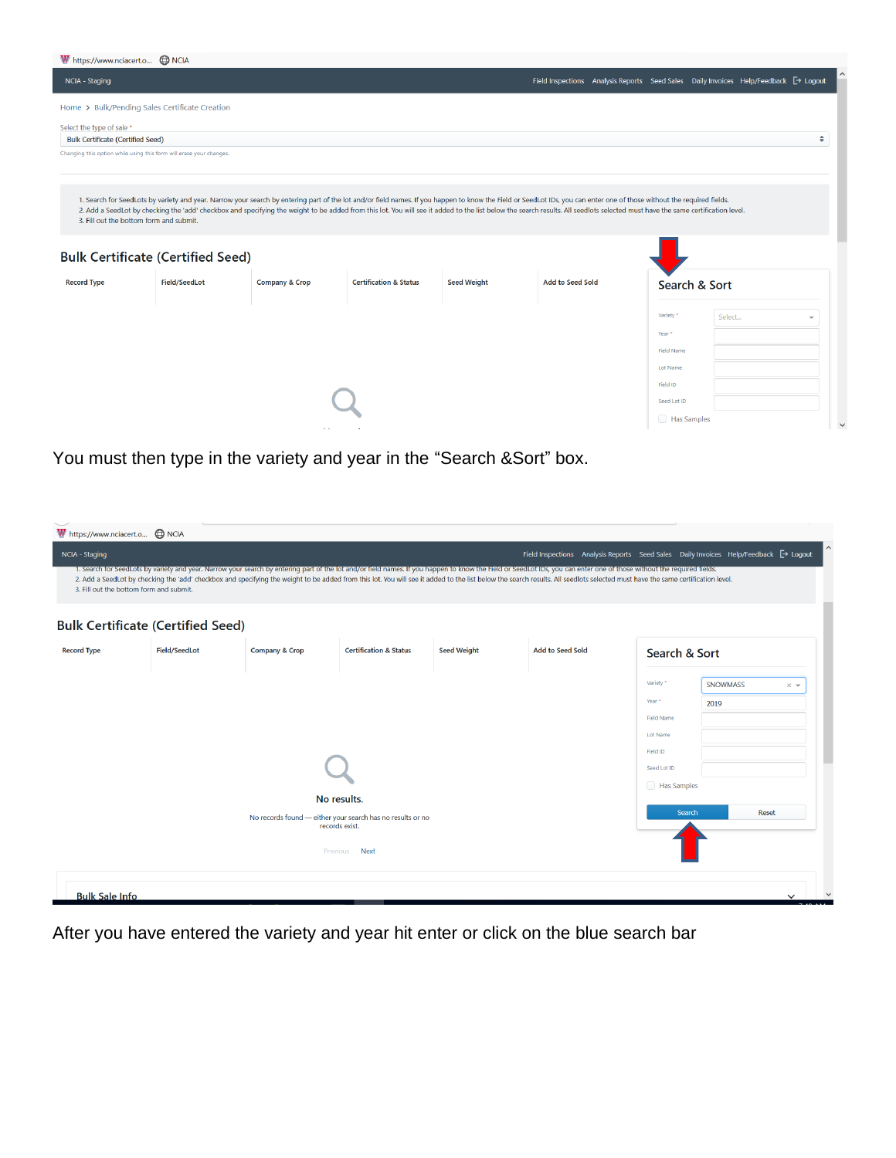| https://www.nciacert.o (D) NCIA          |                                                                     |                                                                                                                                                                                                                                |                                   |                    |                                                                                                |                   |               |               |
|------------------------------------------|---------------------------------------------------------------------|--------------------------------------------------------------------------------------------------------------------------------------------------------------------------------------------------------------------------------|-----------------------------------|--------------------|------------------------------------------------------------------------------------------------|-------------------|---------------|---------------|
| NCIA - Staging                           |                                                                     |                                                                                                                                                                                                                                |                                   |                    | Field Inspections Analysis Reports Seed Sales Daily Invoices Help/Feedback <sup>→</sup> Logout |                   |               |               |
|                                          | Home > Bulk/Pending Sales Certificate Creation                      |                                                                                                                                                                                                                                |                                   |                    |                                                                                                |                   |               |               |
| Select the type of sale *                |                                                                     |                                                                                                                                                                                                                                |                                   |                    |                                                                                                |                   |               |               |
| <b>Bulk Certificate (Certified Seed)</b> |                                                                     |                                                                                                                                                                                                                                |                                   |                    |                                                                                                |                   |               | $\Rightarrow$ |
|                                          | Changing this option while using this form will erase your changes. |                                                                                                                                                                                                                                |                                   |                    |                                                                                                |                   |               |               |
|                                          |                                                                     |                                                                                                                                                                                                                                |                                   |                    |                                                                                                |                   |               |               |
|                                          |                                                                     | 1. Search for SeedLots by variety and year. Narrow your search by entering part of the lot and/or field names. If you happen to know the Field or SeedLot IDs, you can enter one of those without the required fields.         |                                   |                    |                                                                                                |                   |               |               |
| 3. Fill out the bottom form and submit.  |                                                                     | 2. Add a SeedLot by checking the 'add' checkbox and specifying the weight to be added from this lot. You will see it added to the list below the search results. All seedlots selected must have the same certification level. |                                   |                    |                                                                                                |                   |               |               |
|                                          |                                                                     |                                                                                                                                                                                                                                |                                   |                    |                                                                                                |                   |               |               |
|                                          |                                                                     |                                                                                                                                                                                                                                |                                   |                    |                                                                                                |                   |               |               |
|                                          | <b>Bulk Certificate (Certified Seed)</b>                            |                                                                                                                                                                                                                                |                                   |                    |                                                                                                |                   |               |               |
| <b>Record Type</b>                       | Field/SeedLot                                                       | <b>Company &amp; Crop</b>                                                                                                                                                                                                      | <b>Certification &amp; Status</b> | <b>Seed Weight</b> | <b>Add to Seed Sold</b>                                                                        |                   | Search & Sort |               |
|                                          |                                                                     |                                                                                                                                                                                                                                |                                   |                    |                                                                                                |                   |               |               |
|                                          |                                                                     |                                                                                                                                                                                                                                |                                   |                    |                                                                                                | Variety *         | Select        |               |
|                                          |                                                                     |                                                                                                                                                                                                                                |                                   |                    |                                                                                                | Year *            |               |               |
|                                          |                                                                     |                                                                                                                                                                                                                                |                                   |                    |                                                                                                | <b>Field Name</b> |               |               |
|                                          |                                                                     |                                                                                                                                                                                                                                |                                   |                    |                                                                                                | Lot Name          |               |               |
|                                          |                                                                     |                                                                                                                                                                                                                                |                                   |                    |                                                                                                | Field ID          |               |               |
|                                          |                                                                     |                                                                                                                                                                                                                                |                                   |                    |                                                                                                | Seed Lot ID       |               |               |
|                                          |                                                                     |                                                                                                                                                                                                                                |                                   |                    |                                                                                                | Has Samples       |               |               |

You must then type in the variety and year in the "Search &Sort" box.

| https://www.nciacert.o @ NCIA                             |                      |                                                                                                                                                                                                                                                                                                                                                                                                                                                          |                                                                             |                    |                         |                                                                                                           |                                                                                                |  |
|-----------------------------------------------------------|----------------------|----------------------------------------------------------------------------------------------------------------------------------------------------------------------------------------------------------------------------------------------------------------------------------------------------------------------------------------------------------------------------------------------------------------------------------------------------------|-----------------------------------------------------------------------------|--------------------|-------------------------|-----------------------------------------------------------------------------------------------------------|------------------------------------------------------------------------------------------------|--|
| NCIA - Staging<br>3. Fill out the bottom form and submit. |                      | 1. Search for SeedLots by variety and year. Narrow your search by entering part of the lot and/or field names. If you happen to know the Field or SeedLot IDs, you can enter one of those without the required fields.<br>2. Add a SeedLot by checking the 'add' checkbox and specifying the weight to be added from this lot. You will see it added to the list below the search results. All seedlots selected must have the same certification level. |                                                                             |                    |                         |                                                                                                           | Field Inspections Analysis Reports Seed Sales Daily Invoices Help/Feedback <sup>→</sup> Logout |  |
| <b>Bulk Certificate (Certified Seed)</b>                  |                      |                                                                                                                                                                                                                                                                                                                                                                                                                                                          |                                                                             |                    |                         |                                                                                                           |                                                                                                |  |
| <b>Record Type</b>                                        | <b>Field/SeedLot</b> | <b>Company &amp; Crop</b>                                                                                                                                                                                                                                                                                                                                                                                                                                | <b>Certification &amp; Status</b>                                           | <b>Seed Weight</b> | <b>Add to Seed Sold</b> | Search & Sort                                                                                             |                                                                                                |  |
|                                                           |                      |                                                                                                                                                                                                                                                                                                                                                                                                                                                          |                                                                             |                    |                         | Variety <sup>*</sup><br>Year *<br><b>Field Name</b><br>Lot Name<br>Field ID<br>Seed Lot ID<br>Has Samples | SNOWMASS<br>$\times$ $\star$<br>2019                                                           |  |
|                                                           |                      | No results.<br>records exist.                                                                                                                                                                                                                                                                                                                                                                                                                            | No records found - either your search has no results or no<br>Previous Next |                    |                         | Search                                                                                                    | Reset                                                                                          |  |
| <b>Bulk Sale Info</b>                                     |                      |                                                                                                                                                                                                                                                                                                                                                                                                                                                          |                                                                             |                    |                         |                                                                                                           | $\checkmark$                                                                                   |  |

After you have entered the variety and year hit enter or click on the blue search bar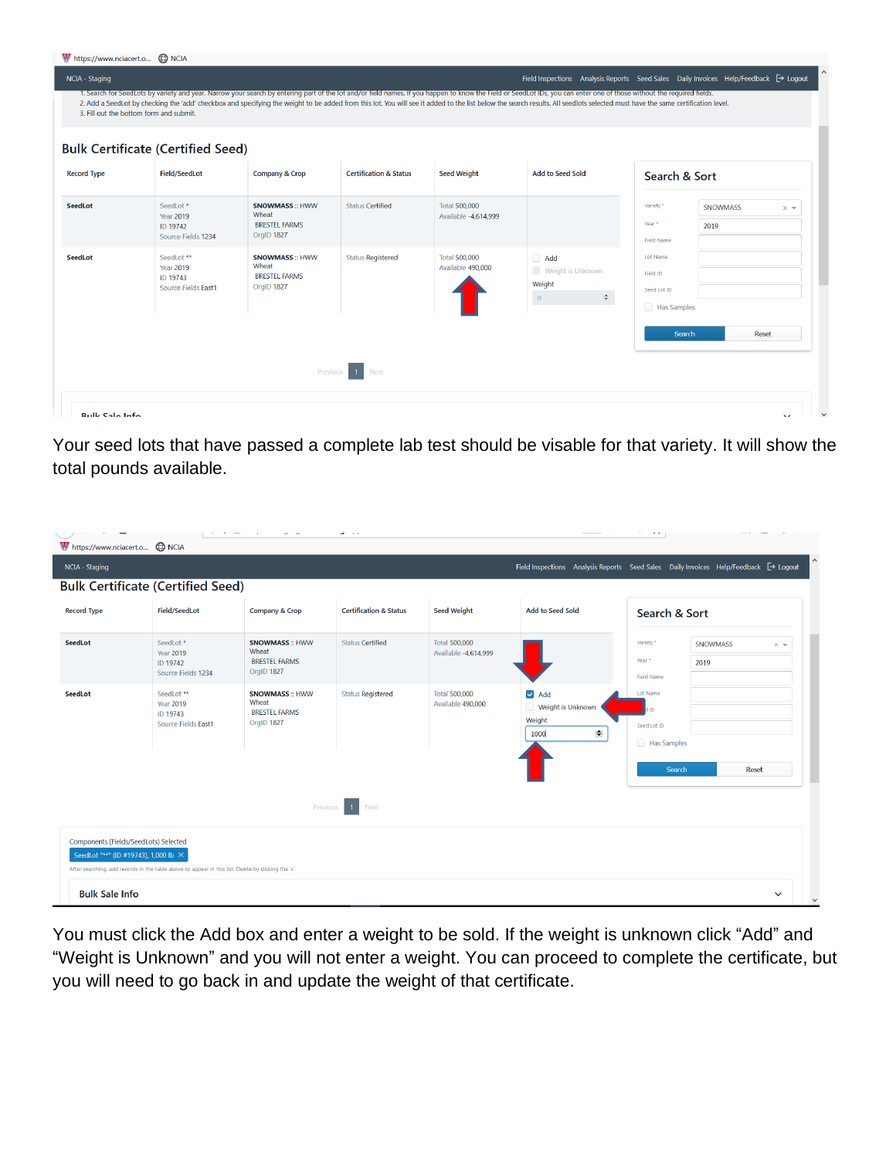| ₩ https://www.nciacert.o A NCIA |                                                                                                                                                                                                                                                                                                                                                                                                                                                                                                     |                                                                      |                                   |                                              |                                                                       |                                                                                             |
|---------------------------------|-----------------------------------------------------------------------------------------------------------------------------------------------------------------------------------------------------------------------------------------------------------------------------------------------------------------------------------------------------------------------------------------------------------------------------------------------------------------------------------------------------|----------------------------------------------------------------------|-----------------------------------|----------------------------------------------|-----------------------------------------------------------------------|---------------------------------------------------------------------------------------------|
| NCIA - Staging                  | 1. Search for SeedLots by variety and year. Narrow your search by entering part of the lot and/or field names. If you happen to know the Field or SeedLot IDs, you can enter one of those without the required fields.<br>2. Add a SeedLot by checking the 'add' checkbox and specifying the weight to be added from this lot. You will see it added to the list below the search results. All seedlots selected must have the same certification level.<br>3. Fill out the bottom form and submit. |                                                                      |                                   |                                              |                                                                       | Field Inspections Analysis Reports Seed Sales Daily Invoices Help/Feedback <a>[→ Logout</a> |
|                                 | <b>Bulk Certificate (Certified Seed)</b>                                                                                                                                                                                                                                                                                                                                                                                                                                                            |                                                                      |                                   |                                              |                                                                       |                                                                                             |
| <b>Record Type</b>              | <b>Field/SeedLot</b>                                                                                                                                                                                                                                                                                                                                                                                                                                                                                | <b>Company &amp; Crop</b>                                            | <b>Certification &amp; Status</b> | <b>Seed Weight</b>                           | <b>Add to Seed Sold</b>                                               | Search & Sort                                                                               |
| <b>SeedLot</b>                  | SeedLot <sup>*</sup><br><b>Year 2019</b><br>ID 19742<br>Source Fields 1234                                                                                                                                                                                                                                                                                                                                                                                                                          | <b>SNOWMASS:: HWW</b><br>Wheat<br><b>BRESTEL FARMS</b><br>OrgID 1827 | <b>Status Certified</b>           | <b>Total 500,000</b><br>Available -4,614,999 |                                                                       | Variety *<br><b>SNOWMASS</b><br>$\times$ $\sqrt{ }$<br>Year *<br>2019<br><b>Field Name</b>  |
| <b>SeedLot</b>                  | SeedLot **<br><b>Year 2019</b><br>ID 19743<br>Source Fields East1                                                                                                                                                                                                                                                                                                                                                                                                                                   | <b>SNOWMASS:: HWW</b><br>Wheat<br><b>BRESTEL FARMS</b><br>OrgID 1827 | <b>Status Registered</b>          | <b>Total 500,000</b><br>Available 490,000    | Add<br>Weight is Unknown<br>Weight<br>$\Rightarrow$<br>$\overline{0}$ | Lot Name<br>Field ID<br>Seed Lot ID<br>Has Samples                                          |
|                                 |                                                                                                                                                                                                                                                                                                                                                                                                                                                                                                     |                                                                      |                                   |                                              |                                                                       | Search<br><b>Reset</b>                                                                      |
|                                 |                                                                                                                                                                                                                                                                                                                                                                                                                                                                                                     | Previous                                                             | Next                              |                                              |                                                                       |                                                                                             |
| <b>Rullz Calo Info</b>          |                                                                                                                                                                                                                                                                                                                                                                                                                                                                                                     |                                                                      |                                   |                                              |                                                                       | $\sim$                                                                                      |

Your seed lots that have passed a complete lab test should be visable for that variety. It will show the total pounds available.

|                    | <b>Bulk Certificate (Certified Seed)</b>                          |                                                                      |                                   |                                              |                                                                  | Field Inspections Analysis Reports Seed Sales Daily Invoices Help/Feedback <a>[→ Logout</a> |
|--------------------|-------------------------------------------------------------------|----------------------------------------------------------------------|-----------------------------------|----------------------------------------------|------------------------------------------------------------------|---------------------------------------------------------------------------------------------|
| <b>Record Type</b> | Field/SeedLot                                                     | <b>Company &amp; Crop</b>                                            | <b>Certification &amp; Status</b> | <b>Seed Weight</b>                           | <b>Add to Seed Sold</b>                                          | Search & Sort                                                                               |
| SeedLot            | SeedLot*<br><b>Year 2019</b><br>ID 19742<br>Source Fields 1234    | <b>SNOWMASS:: HWW</b><br>Wheat<br><b>BRESTEL FARMS</b><br>OrgID 1827 | <b>Status Certified</b>           | <b>Total 500,000</b><br>Available -4,614,999 |                                                                  | Variety '<br><b>SNOWMASS</b><br>$\times$ $\sqrt{ }$<br>Year *<br>2019<br><b>Field Name</b>  |
| <b>SeedLot</b>     | SeedLot **<br><b>Year 2019</b><br>ID 19743<br>Source Fields East1 | <b>SNOWMASS:: HWW</b><br>Wheat<br><b>BRESTEL FARMS</b><br>OrgID 1827 | <b>Status Registered</b>          | <b>Total 500,000</b><br>Available 490,000    | $\triangleright$ Add<br>Weight is Unknown<br>Weight<br>÷<br>1000 | Lot Name<br><b>GILE</b><br>Seed Lot ID<br>Has Samples                                       |
|                    |                                                                   |                                                                      | Previous 1 Next                   |                                              |                                                                  | Reset<br>Search                                                                             |

You must click the Add box and enter a weight to be sold. If the weight is unknown click "Add" and "Weight is Unknown" and you will not enter a weight. You can proceed to complete the certificate, but you will need to go back in and update the weight of that certificate.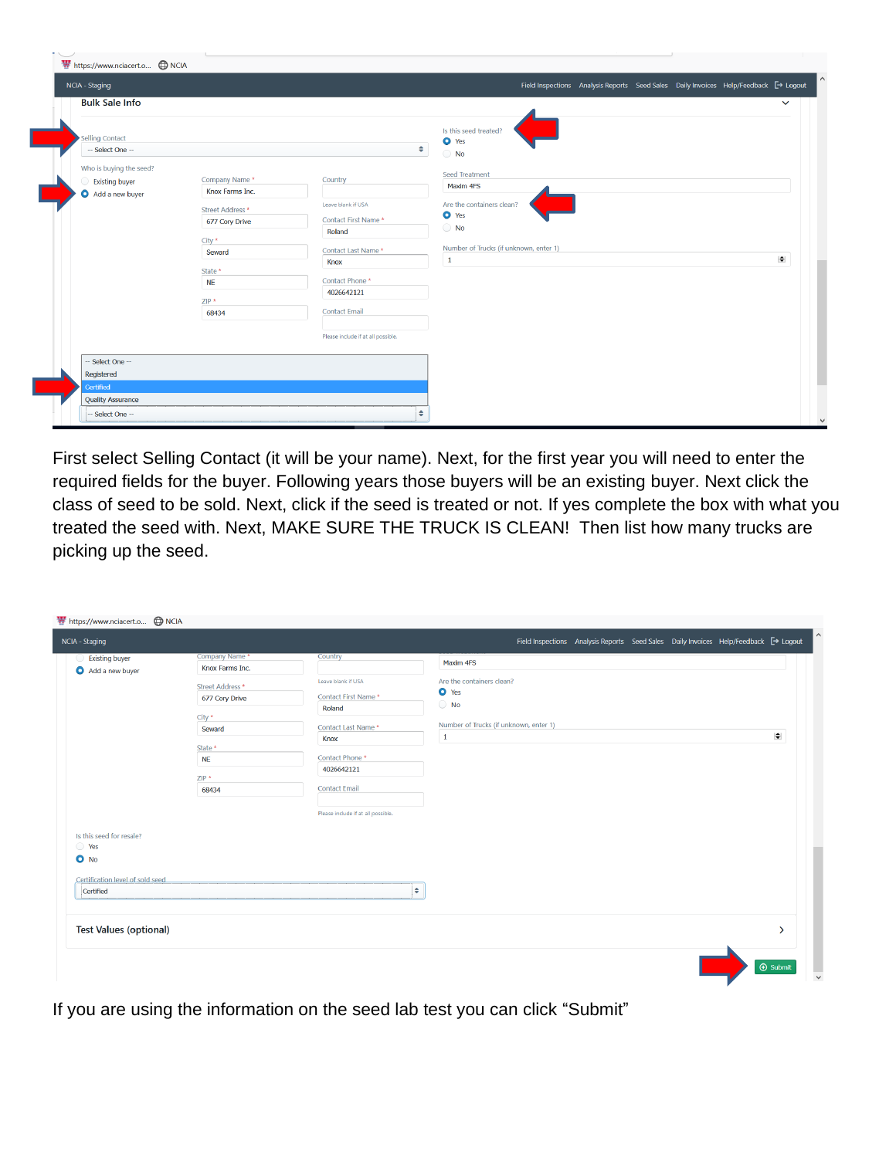| https://www.nciacert.o @ NCIA                                       |                                                                                                                                       |                                                                                                                                                                                             |                                                                                                                                                               |
|---------------------------------------------------------------------|---------------------------------------------------------------------------------------------------------------------------------------|---------------------------------------------------------------------------------------------------------------------------------------------------------------------------------------------|---------------------------------------------------------------------------------------------------------------------------------------------------------------|
| NCIA - Staging                                                      |                                                                                                                                       |                                                                                                                                                                                             | $\land$<br>Field Inspections Analysis Reports Seed Sales Daily Invoices Help/Feedback <sup>→</sup> Logout                                                     |
| <b>Bulk Sale Info</b>                                               |                                                                                                                                       |                                                                                                                                                                                             | $\checkmark$                                                                                                                                                  |
| Selling Contact<br>-- Select One --                                 |                                                                                                                                       | ۰.                                                                                                                                                                                          | Is this seed treated?<br>O Yes<br>$\bigcirc$ No                                                                                                               |
| Who is buying the seed?<br><b>Existing buyer</b><br>Add a new buyer | Company Name*<br>Knox Farms Inc.<br>Street Address *<br>677 Cory Drive<br>City *<br>Seward<br>State *<br><b>NE</b><br>$ZIP*$<br>68434 | Country<br>Leave blank if USA<br>Contact First Name*<br>Roland<br>Contact Last Name*<br>Knox<br>Contact Phone *<br>4026642121<br><b>Contact Email</b><br>Please include if at all possible. | <b>Seed Treatment</b><br>Maxim 4FS<br>Are the containers clean?<br>O Yes<br>$\bigcirc$ No<br>Number of Trucks (if unknown, enter 1)<br>$\div$<br>$\mathbf{1}$ |
| -- Select One --<br>Registered                                      |                                                                                                                                       |                                                                                                                                                                                             |                                                                                                                                                               |
| Certified                                                           |                                                                                                                                       |                                                                                                                                                                                             |                                                                                                                                                               |
| <b>Quality Assurance</b><br>- Select One --                         |                                                                                                                                       | $\div$                                                                                                                                                                                      | $\checkmark$                                                                                                                                                  |

I

First select Selling Contact (it will be your name). Next, for the first year you will need to enter the required fields for the buyer. Following years those buyers will be an existing buyer. Next click the class of seed to be sold. Next, click if the seed is treated or not. If yes complete the box with what you treated the seed with. Next, MAKE SURE THE TRUCK IS CLEAN! Then list how many trucks are picking up the seed.

| https://www.nciacert.o @ NCIA                      |                                    |                                           |                                                                                     |                    |
|----------------------------------------------------|------------------------------------|-------------------------------------------|-------------------------------------------------------------------------------------|--------------------|
| NCIA - Staging                                     |                                    |                                           | Field Inspections Analysis Reports Seed Sales Daily Invoices Help/Feedback → Logout |                    |
| <b>Existing buyer</b><br>$\cup$<br>Add a new buyer | Company Name *<br>Knox Farms Inc.  | Country                                   | Maxim 4FS                                                                           |                    |
|                                                    | Street Address *<br>677 Cory Drive | Leave blank if USA<br>Contact First Name* | Are the containers clean?<br>O Yes                                                  |                    |
|                                                    | City *                             | Roland<br>Contact Last Name*              | $\bigcirc$ No<br>Number of Trucks (if unknown, enter 1)                             |                    |
|                                                    | Seward<br>State *                  | Knox                                      | $\mathbf 1$                                                                         | $\blacksquare$     |
|                                                    | <b>NE</b><br>$ZIP*$                | Contact Phone *<br>4026642121             |                                                                                     |                    |
|                                                    | 68434                              | <b>Contact Email</b>                      |                                                                                     |                    |
|                                                    |                                    | Please include if at all possible.        |                                                                                     |                    |
| Is this seed for resale?<br>$\bigcirc$ Yes         |                                    |                                           |                                                                                     |                    |
| $O$ No                                             |                                    |                                           |                                                                                     |                    |
| Certification level of sold seed<br>Certified      |                                    | ٠                                         |                                                                                     |                    |
| <b>Test Values (optional)</b>                      |                                    |                                           |                                                                                     | $\mathbf{v}$       |
|                                                    |                                    |                                           |                                                                                     |                    |
|                                                    |                                    |                                           |                                                                                     | $\bigoplus$ Submit |

If you are using the information on the seed lab test you can click "Submit"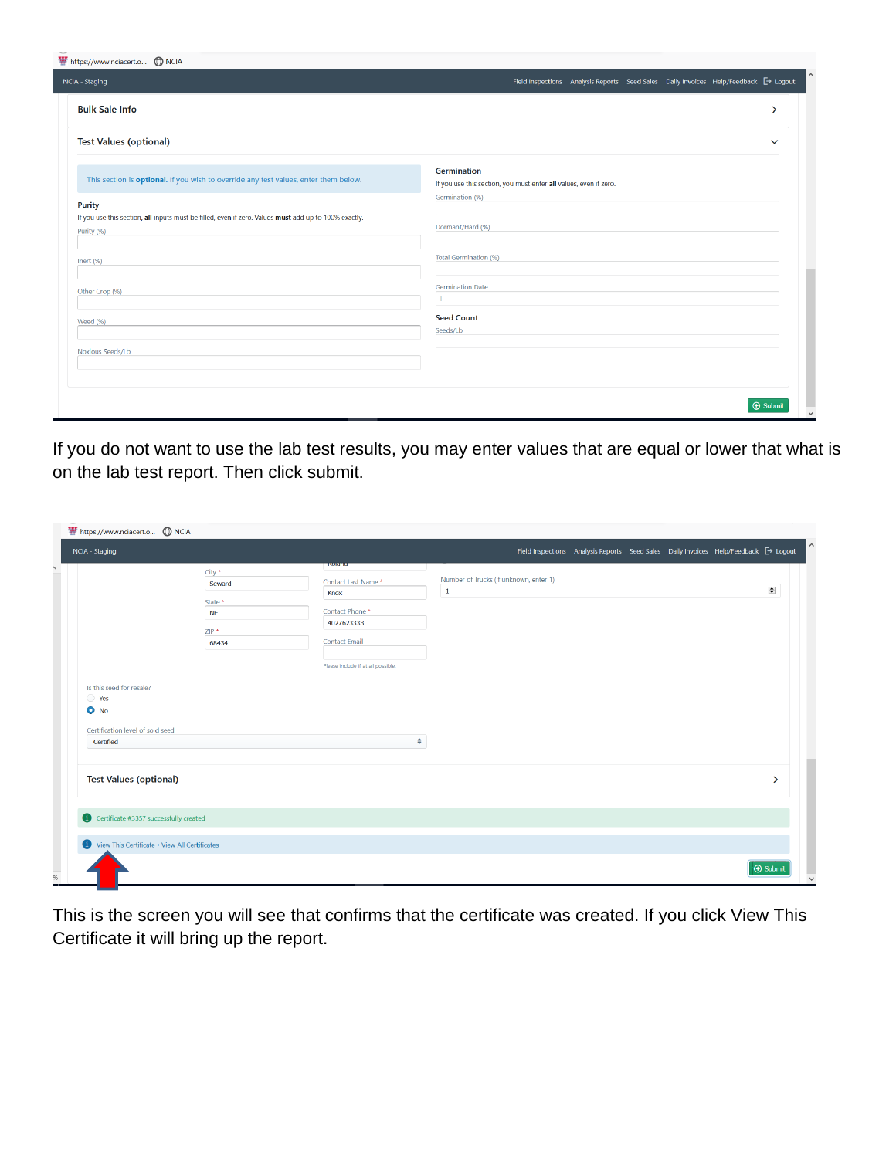| https://www.nciacert.o (D) NCIA                                                                                                      |                                                                                                |
|--------------------------------------------------------------------------------------------------------------------------------------|------------------------------------------------------------------------------------------------|
| NCIA - Staging                                                                                                                       | Field Inspections Analysis Reports Seed Sales Daily Invoices Help/Feedback <sup>→</sup> Logout |
| <b>Bulk Sale Info</b>                                                                                                                | ↘                                                                                              |
| <b>Test Values (optional)</b>                                                                                                        | $\checkmark$                                                                                   |
| This section is <b>optional</b> . If you wish to override any test values, enter them below.                                         | <b>Germination</b><br>If you use this section, you must enter all values, even if zero.        |
| <b>Purity</b><br>If you use this section, all inputs must be filled, even if zero. Values must add up to 100% exactly.<br>Purity (%) | Germination (%)<br>Dormant/Hard (%)                                                            |
| Inert (%)                                                                                                                            | <b>Total Germination (%)</b>                                                                   |
| Other Crop (%)                                                                                                                       | <b>Germination Date</b>                                                                        |
| Weed (%)                                                                                                                             | <b>Seed Count</b><br>Seeds/Lb                                                                  |
| Noxious Seeds/Lb                                                                                                                     |                                                                                                |
|                                                                                                                                      |                                                                                                |
|                                                                                                                                      | $\bigoplus$ Submit                                                                             |

If you do not want to use the lab test results, you may enter values that are equal or lower that what is on the lab test report. Then click submit.

| https://www.nciacert.o @ NCIA                                                   |                                                             |                                                                                                                                             |                                                       |                                                                                                |                    |
|---------------------------------------------------------------------------------|-------------------------------------------------------------|---------------------------------------------------------------------------------------------------------------------------------------------|-------------------------------------------------------|------------------------------------------------------------------------------------------------|--------------------|
| NCIA - Staging                                                                  |                                                             |                                                                                                                                             |                                                       | Field Inspections Analysis Reports Seed Sales Daily Invoices Help/Feedback <sup>→</sup> Logout |                    |
| Is this seed for resale?<br>◯ Yes<br>$O$ No<br>Certification level of sold seed | City *<br>Seward<br>State *<br><b>NE</b><br>$ZIP*$<br>68434 | <b>ROIGHIO</b><br>Contact Last Name*<br>Knox<br>Contact Phone *<br>4027623333<br><b>Contact Email</b><br>Please include if at all possible. | Number of Trucks (if unknown, enter 1)<br>$\mathbf 1$ |                                                                                                | $\Rightarrow$      |
| Certified                                                                       |                                                             | ٠                                                                                                                                           |                                                       |                                                                                                |                    |
| <b>Test Values (optional)</b>                                                   |                                                             |                                                                                                                                             |                                                       |                                                                                                | $\rightarrow$      |
| Certificate #3357 successfully created                                          |                                                             |                                                                                                                                             |                                                       |                                                                                                |                    |
| View This Certificate . View All Certificates                                   |                                                             |                                                                                                                                             |                                                       |                                                                                                |                    |
|                                                                                 |                                                             |                                                                                                                                             |                                                       |                                                                                                | $\bigoplus$ Submit |

This is the screen you will see that confirms that the certificate was created. If you click View This Certificate it will bring up the report.